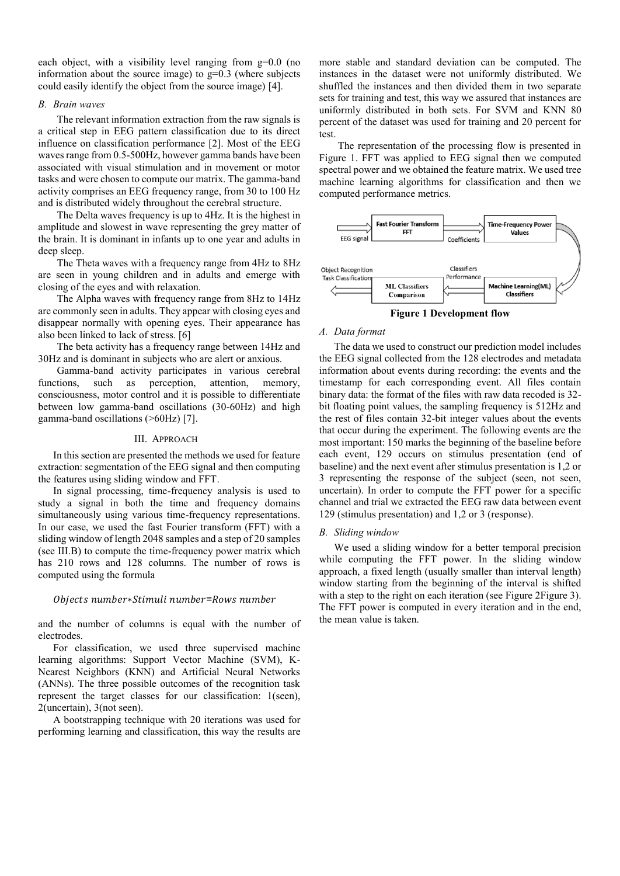each object, with a visibility level ranging from  $g=0.0$  (no information about the source image) to  $g=0.3$  (where subjects could easily identify the object from the source image) [4].

## *B. Brain waves*

The relevant information extraction from the raw signals is a critical step in EEG pattern classification due to its direct influence on classification performance [2]. Most of the EEG waves range from 0.5-500Hz, however gamma bands have been associated with visual stimulation and in movement or motor tasks and were chosen to compute our matrix. The gamma-band activity comprises an EEG frequency range, from 30 to 100 Hz and is distributed widely throughout the cerebral structure.

The Delta waves frequency is up to 4Hz. It is the highest in amplitude and slowest in wave representing the grey matter of the brain. It is dominant in infants up to one year and adults in deep sleep.

The Theta waves with a frequency range from 4Hz to 8Hz are seen in young children and in adults and emerge with closing of the eyes and with relaxation.

The Alpha waves with frequency range from 8Hz to 14Hz are commonly seen in adults. They appear with closing eyes and disappear normally with opening eyes. Their appearance has also been linked to lack of stress. [6]

The beta activity has a frequency range between 14Hz and 30Hz and is dominant in subjects who are alert or anxious.

Gamma-band activity participates in various cerebral functions, such as perception, attention, memory, consciousness, motor control and it is possible to differentiate between low gamma-band oscillations (30-60Hz) and high gamma-band oscillations (>60Hz) [7].

# III. APPROACH

In this section are presented the methods we used for feature extraction: segmentation of the EEG signal and then computing the features using sliding window and FFT.

In signal processing, time-frequency analysis is used to study a signal in both the time and frequency domains simultaneously using various time-frequency representations. In our case, we used the fast Fourier transform (FFT) with a sliding window of length 2048 samples and a step of 20 samples (see [III.B\)](#page-1-0) to compute the time-frequency power matrix which has 210 rows and 128 columns. The number of rows is computed using the formula

## Objects number\*Stimuli number=Rows number

and the number of columns is equal with the number of electrodes.

For classification, we used three supervised machine learning algorithms: Support Vector Machine (SVM), K-Nearest Neighbors (KNN) and Artificial Neural Networks (ANNs). The three possible outcomes of the recognition task represent the target classes for our classification: 1(seen), 2(uncertain), 3(not seen).

A bootstrapping technique with 20 iterations was used for performing learning and classification, this way the results are more stable and standard deviation can be computed. The instances in the dataset were not uniformly distributed. We shuffled the instances and then divided them in two separate sets for training and test, this way we assured that instances are uniformly distributed in both sets. For SVM and KNN 80 percent of the dataset was used for training and 20 percent for test.

The representation of the processing flow is presented in [Figure 1.](#page-1-1) FFT was applied to EEG signal then we computed spectral power and we obtained the feature matrix. We used tree machine learning algorithms for classification and then we computed performance metrics.



**Figure 1 Development flow**

#### <span id="page-1-1"></span>*A. Data format*

The data we used to construct our prediction model includes the EEG signal collected from the 128 electrodes and metadata information about events during recording: the events and the timestamp for each corresponding event. All files contain binary data: the format of the files with raw data recoded is 32 bit floating point values, the sampling frequency is 512Hz and the rest of files contain 32-bit integer values about the events that occur during the experiment. The following events are the most important: 150 marks the beginning of the baseline before each event, 129 occurs on stimulus presentation (end of baseline) and the next event after stimulus presentation is 1,2 or 3 representing the response of the subject (seen, not seen, uncertain). In order to compute the FFT power for a specific channel and trial we extracted the EEG raw data between event 129 (stimulus presentation) and 1,2 or 3 (response).

## <span id="page-1-0"></span>*B. Sliding window*

We used a sliding window for a better temporal precision while computing the FFT power. In the sliding window approach, a fixed length (usually smaller than interval length) window starting from the beginning of the interval is shifted with a step to the right on each iteration (see Figure 2 Figure 3). The FFT power is computed in every iteration and in the end, the mean value is taken.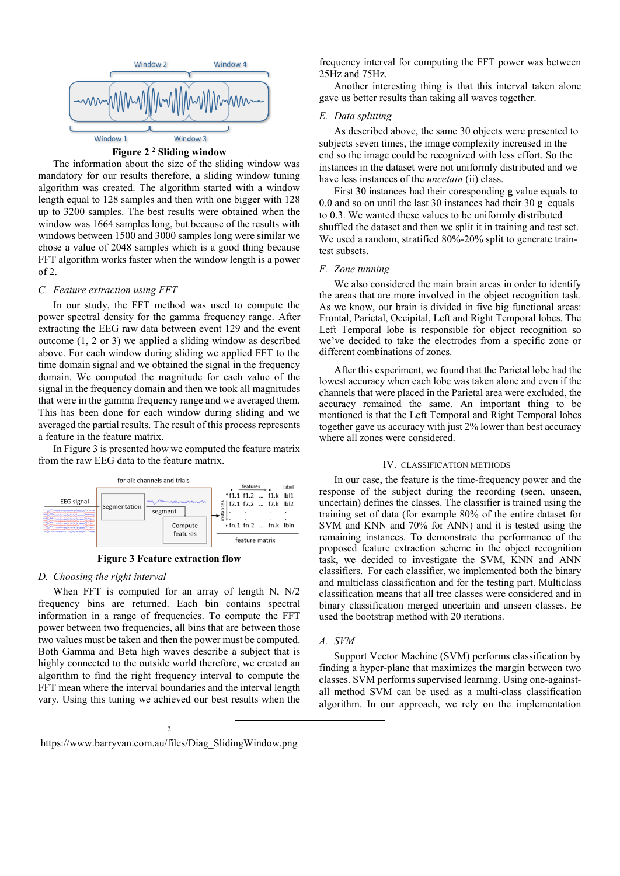

**Figure 2 <sup>2</sup> Sliding window**

<span id="page-2-0"></span>The information about the size of the sliding window was mandatory for our results therefore, a sliding window tuning algorithm was created. The algorithm started with a window length equal to 128 samples and then with one bigger with 128 up to 3200 samples. The best results were obtained when the window was 1664 samples long, but because of the results with windows between 1500 and 3000 samples long were similar we chose a value of 2048 samples which is a good thing because FFT algorithm works faster when the window length is a power of 2.

#### *C. Feature extraction using FFT*

In our study, the FFT method was used to compute the power spectral density for the gamma frequency range. After extracting the EEG raw data between event 129 and the event outcome (1, 2 or 3) we applied a sliding window as described above. For each window during sliding we applied FFT to the time domain signal and we obtained the signal in the frequency domain. We computed the magnitude for each value of the signal in the frequency domain and then we took all magnitudes that were in the gamma frequency range and we averaged them. This has been done for each window during sliding and we averaged the partial results. The result of this process represents a feature in the feature matrix.

I[n Figure 3](#page-2-1) is presented how we computed the feature matrix from the raw EEG data to the feature matrix.



**Figure 3 Feature extraction flow**

#### <span id="page-2-1"></span>*D. Choosing the right interval*

When FFT is computed for an array of length N, N/2 frequency bins are returned. Each bin contains spectral information in a range of frequencies. To compute the FFT power between two frequencies, all bins that are between those two values must be taken and then the power must be computed. Both Gamma and Beta high waves describe a subject that is highly connected to the outside world therefore, we created an algorithm to find the right frequency interval to compute the FFT mean where the interval boundaries and the interval length vary. Using this tuning we achieved our best results when the

frequency interval for computing the FFT power was between 25Hz and 75Hz.

Another interesting thing is that this interval taken alone gave us better results than taking all waves together.

## *E. Data splitting*

As described above, the same 30 objects were presented to subjects seven times, the image complexity increased in the end so the image could be recognized with less effort. So the instances in the dataset were not uniformly distributed and we have less instances of the *uncetain* (ii) class.

First 30 instances had their coresponding **g** value equals to 0.0 and so on until the last 30 instances had their 30 **g** equals to 0.3. We wanted these values to be uniformly distributed shuffled the dataset and then we split it in training and test set. We used a random, stratified 80%-20% split to generate traintest subsets.

## *F. Zone tunning*

We also considered the main brain areas in order to identify the areas that are more involved in the object recognition task. As we know, our brain is divided in five big functional areas: Frontal, Parietal, Occipital, Left and Right Temporal lobes. The Left Temporal lobe is responsible for object recognition so we've decided to take the electrodes from a specific zone or different combinations of zones.

After this experiment, we found that the Parietal lobe had the lowest accuracy when each lobe was taken alone and even if the channels that were placed in the Parietal area were excluded, the accuracy remained the same. An important thing to be mentioned is that the Left Temporal and Right Temporal lobes together gave us accuracy with just 2% lower than best accuracy where all zones were considered.

#### IV. CLASSIFICATION METHODS

In our case, the feature is the time-frequency power and the response of the subject during the recording (seen, unseen, uncertain) defines the classes. The classifier is trained using the training set of data (for example 80% of the entire dataset for SVM and KNN and 70% for ANN) and it is tested using the remaining instances. To demonstrate the performance of the proposed feature extraction scheme in the object recognition task, we decided to investigate the SVM, KNN and ANN classifiers. For each classifier, we implemented both the binary and multiclass classification and for the testing part. Multiclass classification means that all tree classes were considered and in binary classification merged uncertain and unseen classes. Ee used the bootstrap method with 20 iterations.

# *A. SVM*

Support Vector Machine (SVM) performs classification by finding a hyper-plane that maximizes the margin between two classes. SVM performs supervised learning. Using one-againstall method SVM can be used as a multi-class classification algorithm. In our approach, we rely on the implementation

-

 $\overline{\phantom{a}}$ https://www.barryvan.com.au/files/Diag\_SlidingWindow.png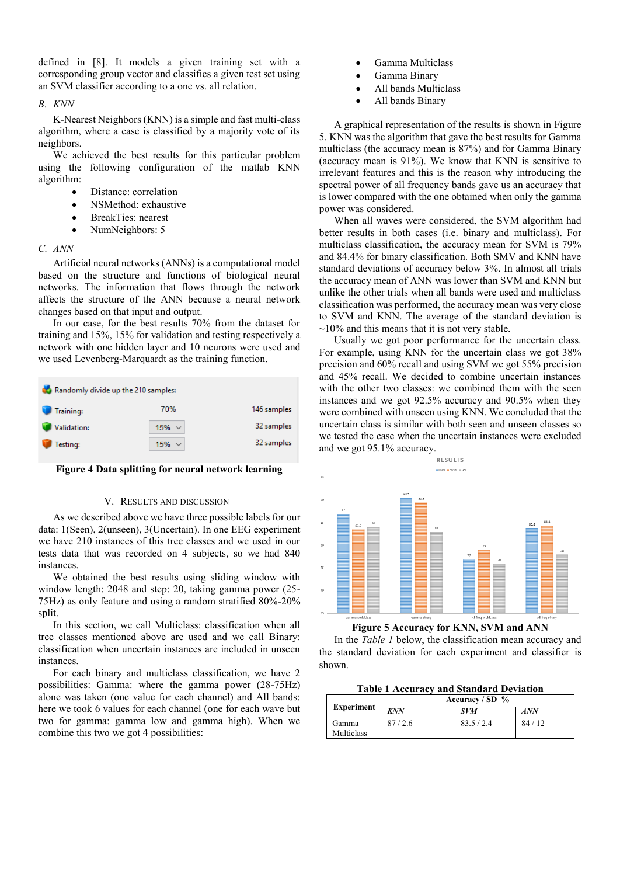defined in [8]. It models a given training set with a corresponding group vector and classifies a given test set using an SVM classifier according to a one vs. all relation.

# *B. KNN*

K-Nearest Neighbors (KNN) is a simple and fast multi-class algorithm, where a case is classified by a majority vote of its neighbors.

We achieved the best results for this particular problem using the following configuration of the matlab KNN algorithm:

- Distance: correlation
- NSMethod: exhaustive
- BreakTies: nearest
- NumNeighbors: 5

# *C. ANN*

Artificial neural networks (ANNs) is a computational model based on the structure and functions of biological neural networks. The information that flows through the network affects the structure of the ANN because a neural network changes based on that input and output.

In our case, for the best results 70% from the dataset for training and 15%, 15% for validation and testing respectively a network with one hidden layer and 10 neurons were used and we used Levenberg-Marquardt as the training function.



## **Figure 4 Data splitting for neural network learning**

#### V. RESULTS AND DISCUSSION

As we described above we have three possible labels for our data: 1(Seen), 2(unseen), 3(Uncertain). In one EEG experiment we have 210 instances of this tree classes and we used in our tests data that was recorded on 4 subjects, so we had 840 instances.

We obtained the best results using sliding window with window length: 2048 and step: 20, taking gamma power (25- 75Hz) as only feature and using a random stratified 80%-20% split.

In this section, we call Multiclass: classification when all tree classes mentioned above are used and we call Binary: classification when uncertain instances are included in unseen instances.

For each binary and multiclass classification, we have 2 possibilities: Gamma: where the gamma power (28-75Hz) alone was taken (one value for each channel) and All bands: here we took 6 values for each channel (one for each wave but two for gamma: gamma low and gamma high). When we combine this two we got 4 possibilities:

- Gamma Multiclass
- Gamma Binary
- All bands Multiclass
- All bands Binary

A graphical representation of the results is shown in [Figure](#page-3-0)  [5.](#page-3-0) KNN was the algorithm that gave the best results for Gamma multiclass (the accuracy mean is 87%) and for Gamma Binary (accuracy mean is 91%). We know that KNN is sensitive to irrelevant features and this is the reason why introducing the spectral power of all frequency bands gave us an accuracy that is lower compared with the one obtained when only the gamma power was considered.

When all waves were considered, the SVM algorithm had better results in both cases (i.e. binary and multiclass). For multiclass classification, the accuracy mean for SVM is 79% and 84.4% for binary classification. Both SMV and KNN have standard deviations of accuracy below 3%. In almost all trials the accuracy mean of ANN was lower than SVM and KNN but unlike the other trials when all bands were used and multiclass classification was performed, the accuracy mean was very close to SVM and KNN. The average of the standard deviation is  $\sim$ 10% and this means that it is not very stable.

Usually we got poor performance for the uncertain class. For example, using KNN for the uncertain class we got 38% precision and 60% recall and using SVM we got 55% precision and 45% recall. We decided to combine uncertain instances with the other two classes: we combined them with the seen instances and we got 92.5% accuracy and 90.5% when they were combined with unseen using KNN. We concluded that the uncertain class is similar with both seen and unseen classes so we tested the case when the uncertain instances were excluded and we got 95.1% accuracy.





<span id="page-3-0"></span>In the *[Table 1](#page-3-1)* below, the classification mean accuracy and the standard deviation for each experiment and classifier is shown.

**Table 1 Accuracy and Standard Deviation**

<span id="page-3-1"></span>

| <b>Experiment</b>          | Accuracy / $SD$ % |            |       |
|----------------------------|-------------------|------------|-------|
|                            | <b>KNN</b>        | <i>SVM</i> | ANN   |
| Gamma<br><b>Multiclass</b> | 87/2.6            | 83.5/2.4   | 84/12 |